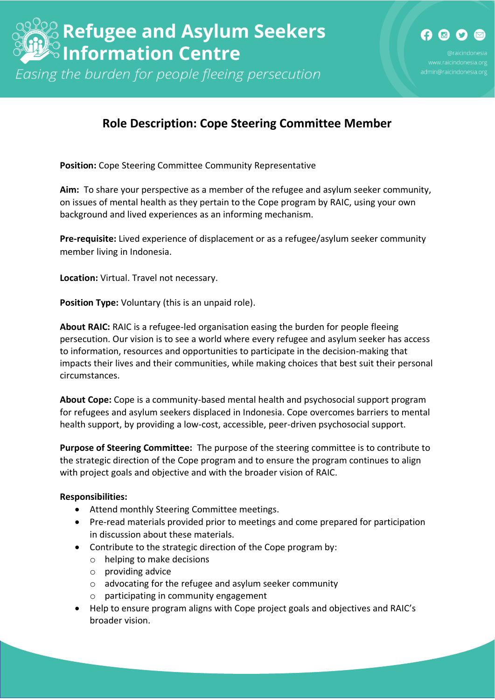Easing the burden for people fleeing persecution

## **Role Description: Cope Steering Committee Member**

**Position:** Cope Steering Committee Community Representative

**Aim:** To share your perspective as a member of the refugee and asylum seeker community, on issues of mental health as they pertain to the Cope program by RAIC, using your own background and lived experiences as an informing mechanism.

**Pre-requisite:** Lived experience of displacement or as a refugee/asylum seeker community member living in Indonesia.

**Location:** Virtual. Travel not necessary.

**Position Type:** Voluntary (this is an unpaid role).

**About RAIC:** RAIC is a refugee-led organisation easing the burden for people fleeing persecution. Our vision is to see a world where every refugee and asylum seeker has access to information, resources and opportunities to participate in the decision-making that impacts their lives and their communities, while making choices that best suit their personal circumstances.

**About Cope:** Cope is a community-based mental health and psychosocial support program for refugees and asylum seekers displaced in Indonesia. Cope overcomes barriers to mental health support, by providing a low-cost, accessible, peer-driven psychosocial support.

**Purpose of Steering Committee:** The purpose of the steering committee is to contribute to the strategic direction of the Cope program and to ensure the program continues to align with project goals and objective and with the broader vision of RAIC.

## **Responsibilities:**

- Attend monthly Steering Committee meetings.
- Pre-read materials provided prior to meetings and come prepared for participation in discussion about these materials.
- Contribute to the strategic direction of the Cope program by:
	- o helping to make decisions
	- o providing advice
	- o advocating for the refugee and asylum seeker community
	- o participating in community engagement
- Help to ensure program aligns with Cope project goals and objectives and RAIC's broader vision.